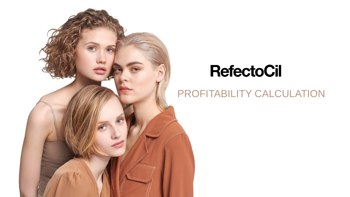## PROFITABILITY CALCULATION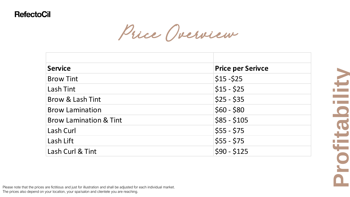Price Overview

| <b>Service</b>                    | <b>Price per Serivce</b> |
|-----------------------------------|--------------------------|
| <b>Brow Tint</b>                  | $$15 - $25$              |
| <b>Lash Tint</b>                  | $$15 - $25$              |
| Brow & Lash Tint                  | $$25 - $35$              |
| <b>Brow Lamination</b>            | $$60 - $80$              |
| <b>Brow Lamination &amp; Tint</b> | $$85 - $105$             |
| Lash Curl                         | $$55 - $75$              |
| Lash Lift                         | $$55 - $75$              |
| Lash Curl & Tint                  | $$90 - $125$             |

Please note that the prices are fictitious and just for illustration and shall be adjusted for each individual market. The prices also depend on your location, your spa/salon and clientele you are reaching.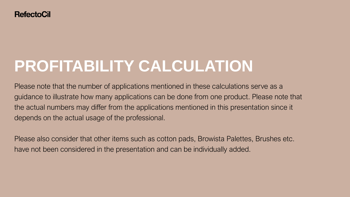# **PROFITABILITY CALCULATION**

Please note that the number of applications mentioned in these calculations serve as a guidance to illustrate how many applications can be done from one product. Please note that the actual numbers may differ from the applications mentioned in this presentation since it depends on the actual usage of the professional.

Please also consider that other items such as cotton pads, Browista Palettes, Brushes etc. have not been considered in the presentation and can be individually added.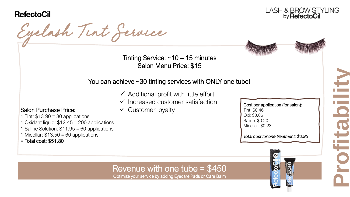

Salon Purchase Price:

 $=$  Total cost: \$51.80

1 Tint:  $$13.90 = 30$  applications

1 Micellar:  $$13.50 = 60$  applications

1 Oxidant liquid: \$12.45 = 200 applications 1 Saline Solution: \$11.95 = 60 applications

Eyelash Tint Service





### You can achieve ~30 tinting services with ONLY one tube!

- $\checkmark$  Additional profit with little effort
- $\checkmark$  Increased customer satisfaction
- $\checkmark$  Customer loyalty

Cost per application (for salon): Tint: \$0.46 Oxi: \$0.06 Saline: \$0.20 Micellar: \$0.23

*Total cost for one treatment: \$0.95*



# **Profitability**

### Revenue with one tube = \$450

Optimize your service by adding Eyecare Pads or Care Balm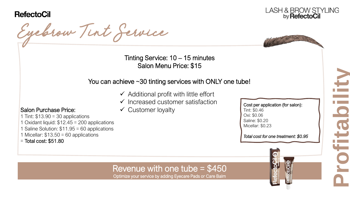

Salon Purchase Price:

 $=$  Total cost: \$51.80

1 Tint:  $$13.90 = 30$  applications

1 Micellar:  $$13.50 = 60$  applications

1 Oxidant liquid: \$12.45 = 200 applications 1 Saline Solution: \$11.95 = 60 applications





Tinting Service: 10 – 15 minutes Salon Menu Price: \$15

### You can achieve ~30 tinting services with ONLY one tube!

- $\checkmark$  Additional profit with little effort
- $\checkmark$  Increased customer satisfaction
- $\checkmark$  Customer loyalty

Cost per application (for salon): Tint: \$0.46 Oxi: \$0.06 Saline: \$0.20 Micellar: \$0.23

*Total cost for one treatment: \$0.95*



# **Profitability**

### Revenue with one tube = \$450

Optimize your service by adding Eyecare Pads or Care Balm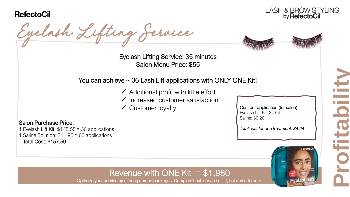Salon Purchase Price:

= Total Cost: \$157.50

1 Eyelash Lift Kit: \$145.55 = 36 applications 1 Saline Solution: \$11.95 = 60 applications

LASH & BROW STYLING<br>by **RefectoCil** 

Eyelash Lifting Service



Eyelash Lifting Service: 35 minutes Salon Menu Price: \$55

### You can achieve  $\sim$  36 Lash Lift applications with ONLY ONE Kit!

- $\checkmark$  Additional profit with little effort
- $\checkmark$  Increased customer satisfaction
- 

 $\checkmark$  Customer loyalty  $\checkmark$  Cost per application (for salon): Eyelash Lift Kit: \$4.04 Saline: \$0.20

*Total cost for one treatment: \$4.24*



### Revenue with ONE Kit  $= $1,980$

Optimize your service by offering combo packages. Complete Lash service of lift, tint and aftercare.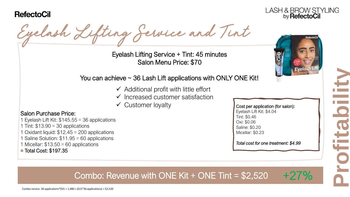

Eyelash Lifting Service and Tint

Eyelash Lifting Service + Tint: 45 minutes Salon Menu Price: \$70

### You can achieve  $\sim$  36 Lash Lift applications with ONLY ONE Kit!

- $\checkmark$  Additional profit with little effort
- $\checkmark$  Increased customer satisfaction
- $\checkmark$  Customer loyalty

### Salon Purchase Price:

1 Eyelash Lift Kit: \$145.55 = 36 applications

- 1 Tint:  $$13.90 = 30$  applications
- 1 Oxidant liquid: \$12.45 = 200 applications
- 1 Saline Solution: \$11.95 = 60 applications
- 1 Micellar:  $$13.50 = 60$  applications
- = Total Cost: \$197.35

Eyelash Lift Kit: \$4.04 Tint: \$0.46 *Total cost for one treatment: 0,38€* Saline: \$0.20 Cost per application (for salon): Oxi: \$0.06 Micellar: \$0.23

 $\frac{1}{2}$ 

*Total cost for one treatment: \$4.99*



### Revenue with  $\overline{O}$ NF Kit +  $\overline{O}$ NF Tin: Combo: Revenue with ONE Kit + ONE Tint =  $$2,520$  +27%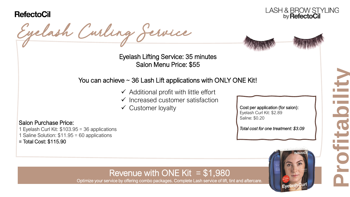Salon Purchase Price:

= Total Cost: \$115.90

1 Eyelash Curl Kit: \$103.95 = 36 applications 1 Saline Solution: \$11.95 = 60 applications

LASH & BROW STYLING by RefectoCil

Eyelash Curling Service



Eyelash Lifting Service: 35 minutes Salon Menu Price: \$55

### You can achieve  $\sim$  36 Lash Lift applications with ONLY ONE Kit!

- $\checkmark$  Additional profit with little effort
- $\checkmark$  Increased customer satisfaction
- 

 $\checkmark$  Customer loyalty  $\checkmark$  Cost per application (for salon): Eyelash Curl Kit: \$2.89 Saline: \$0.20

*Total cost for one treatment: \$3.09*



**Profitability**

### Revenue with ONE Kit  $= $1,980$

Optimize your service by offering combo packages. Complete Lash service of lift, tint and aftercare.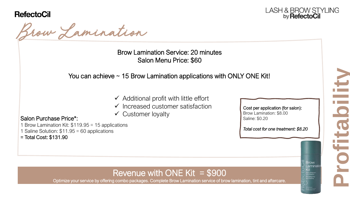





Brow Lamination Service: 20 minutes Salon Menu Price: \$60

### You can achieve  $\sim$  15 Brow Lamination applications with ONLY ONE Kit!

- $\checkmark$  Additional profit with little effort
- $\checkmark$  Increased customer satisfaction
- $\checkmark$  Customer loyalty

### Salon Purchase Price\*:

1 Brow Lamination Kit: \$119.95 = 15 applications

1 Saline Solution: \$11.95 = 60 applications

= Total Cost: \$131.90

Cost per application (for salon): Brow Lamination: \$8.00 Saline: \$0.20

*Total cost for one treatment: \$8.20*

### Revenue with ONE Kit  $= $900$

Optimize your service by offering combo packages. Complete Brow Lamination service of brow lamination, tint and aftercare.

**Profitability**

**Brow** \_aminatio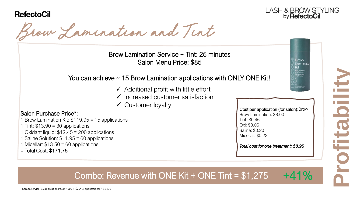



**Brow** Laminati

Brow Lamination and Tint

Brow Lamination Service + Tint: 25 minutes Salon Menu Price: \$85

### You can achieve  $\sim$  15 Brow Lamination applications with ONLY ONE Kit!

- $\checkmark$  Additional profit with little effort
- $\checkmark$  Increased customer satisfaction
- $\checkmark$  Customer loyalty

### Salon Purchase Price\*:

- 1 Brow Lamination Kit: \$119.95 = 15 applications
- 1 Tint:  $$13.90 = 30$  applications
- 1 Oxidant liquid: \$12.45 = 200 applications
- 1 Saline Solution: \$11.95 = 60 applications
- 1 Micellar:  $$13.50 = 60$  applications
- = Total Cost: \$171.75

Cost per application (for salon):Brow Brow Lamination: \$8.00 Tint: \$0.46 Oxi: \$0.06 Saline: \$0.20 Micellar: \$0.23

*Total cost for one treatment: \$8.95*

**Profitability**

### $\epsilon$  avenue with ONF Kit + ONF Tir Combo: Revenue with ONE Kit + ONE Tint = \$1,275  $+41%$